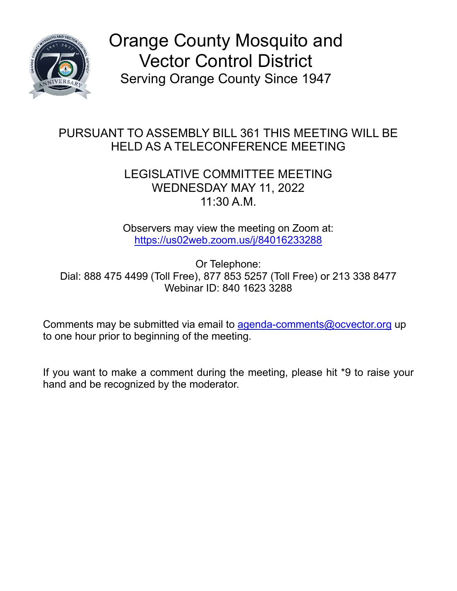

Orange County Mosquito and Vector Control District Serving Orange County Since 1947

## PURSUANT TO ASSEMBLY BILL 361 THIS MEETING WILL BE HELD AS A TELECONFERENCE MEETING

## LEGISLATIVE COMMITTEE MEETING WEDNESDAY MAY 11, 2022 11:30 A.M.

Observers may view the meeting on Zoom at: [https://us02web.zoom.us/j/84016233288](https://gcc02.safelinks.protection.outlook.com/?url=https%3A%2F%2Fus02web.zoom.us%2Fj%2F84016233288&data=05%7C01%7CTPett%40ocvector.org%7C5fe4ff6829da406f188908da2d06ce35%7Ccb3de05604a54a47bd3e25834a7e4386%7C1%7C0%7C637871804502483829%7CUnknown%7CTWFpbGZsb3d8eyJWIjoiMC4wLjAwMDAiLCJQIjoiV2luMzIiLCJBTiI6Ik1haWwiLCJXVCI6Mn0%3D%7C3000%7C%7C%7C&sdata=BnqJFS%2FJ4KQ7xkIzcJ7vX1CmfOp9DFx0zKNfTP6X1AA%3D&reserved=0)

Or Telephone: Dial: 888 475 4499 (Toll Free), 877 853 5257 (Toll Free) or 213 338 8477 Webinar ID: 840 1623 3288

Comments may be submitted via email to [agenda-comments@ocvector.org](mailto:agenda-comments@ocvector.org) up to one hour prior to beginning of the meeting.

If you want to make a comment during the meeting, please hit \*9 to raise your hand and be recognized by the moderator.